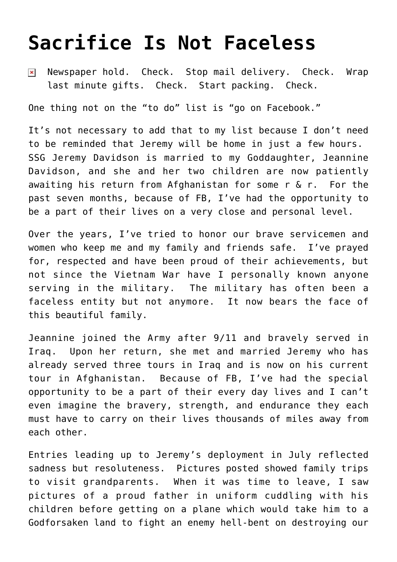## **[Sacrifice Is Not Faceless](https://bernardgoldberg.com/sacrifice-is-not-faceless/)**

Newspaper hold. Check. Stop mail delivery. Check. Wrap  $\pmb{\times}$ last minute gifts. Check. Start packing. Check.

One thing not on the "to do" list is "go on Facebook."

It's not necessary to add that to my list because I don't need to be reminded that Jeremy will be home in just a few hours. SSG Jeremy Davidson is married to my Goddaughter, Jeannine Davidson, and she and her two children are now patiently awaiting his return from Afghanistan for some r & r. For the past seven months, because of FB, I've had the opportunity to be a part of their lives on a very close and personal level.

Over the years, I've tried to honor our brave servicemen and women who keep me and my family and friends safe. I've prayed for, respected and have been proud of their achievements, but not since the Vietnam War have I personally known anyone serving in the military. The military has often been a faceless entity but not anymore. It now bears the face of this beautiful family.

Jeannine joined the Army after 9/11 and bravely served in Iraq. Upon her return, she met and married Jeremy who has already served three tours in Iraq and is now on his current tour in Afghanistan. Because of FB, I've had the special opportunity to be a part of their every day lives and I can't even imagine the bravery, strength, and endurance they each must have to carry on their lives thousands of miles away from each other.

Entries leading up to Jeremy's deployment in July reflected sadness but resoluteness. Pictures posted showed family trips to visit grandparents. When it was time to leave, I saw pictures of a proud father in uniform cuddling with his children before getting on a plane which would take him to a Godforsaken land to fight an enemy hell-bent on destroying our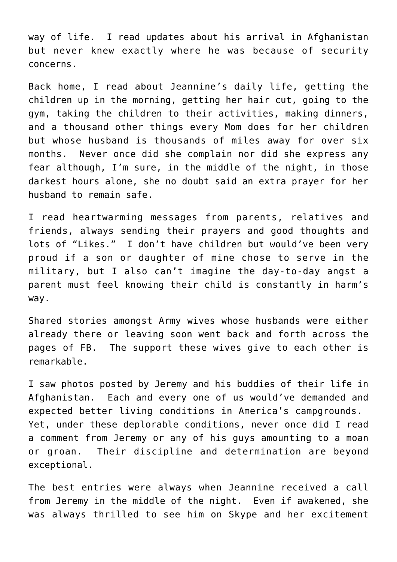way of life. I read updates about his arrival in Afghanistan but never knew exactly where he was because of security concerns.

Back home, I read about Jeannine's daily life, getting the children up in the morning, getting her hair cut, going to the gym, taking the children to their activities, making dinners, and a thousand other things every Mom does for her children but whose husband is thousands of miles away for over six months. Never once did she complain nor did she express any fear although, I'm sure, in the middle of the night, in those darkest hours alone, she no doubt said an extra prayer for her husband to remain safe.

I read heartwarming messages from parents, relatives and friends, always sending their prayers and good thoughts and lots of "Likes." I don't have children but would've been very proud if a son or daughter of mine chose to serve in the military, but I also can't imagine the day-to-day angst a parent must feel knowing their child is constantly in harm's way.

Shared stories amongst Army wives whose husbands were either already there or leaving soon went back and forth across the pages of FB. The support these wives give to each other is remarkable.

I saw photos posted by Jeremy and his buddies of their life in Afghanistan. Each and every one of us would've demanded and expected better living conditions in America's campgrounds. Yet, under these deplorable conditions, never once did I read a comment from Jeremy or any of his guys amounting to a moan or groan. Their discipline and determination are beyond exceptional.

The best entries were always when Jeannine received a call from Jeremy in the middle of the night. Even if awakened, she was always thrilled to see him on Skype and her excitement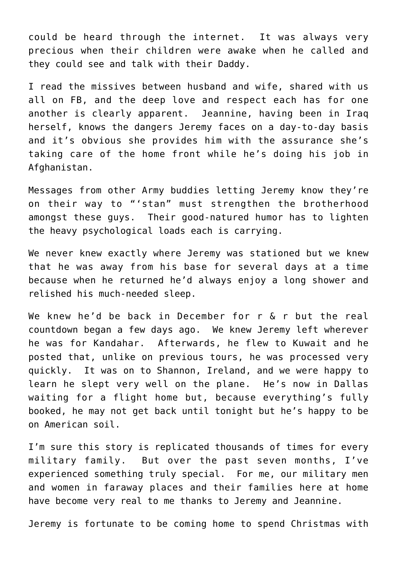could be heard through the internet. It was always very precious when their children were awake when he called and they could see and talk with their Daddy.

I read the missives between husband and wife, shared with us all on FB, and the deep love and respect each has for one another is clearly apparent. Jeannine, having been in Iraq herself, knows the dangers Jeremy faces on a day-to-day basis and it's obvious she provides him with the assurance she's taking care of the home front while he's doing his job in Afghanistan.

Messages from other Army buddies letting Jeremy know they're on their way to "'stan" must strengthen the brotherhood amongst these guys. Their good-natured humor has to lighten the heavy psychological loads each is carrying.

We never knew exactly where Jeremy was stationed but we knew that he was away from his base for several days at a time because when he returned he'd always enjoy a long shower and relished his much-needed sleep.

We knew he'd be back in December for r & r but the real countdown began a few days ago. We knew Jeremy left wherever he was for Kandahar. Afterwards, he flew to Kuwait and he posted that, unlike on previous tours, he was processed very quickly. It was on to Shannon, Ireland, and we were happy to learn he slept very well on the plane. He's now in Dallas waiting for a flight home but, because everything's fully booked, he may not get back until tonight but he's happy to be on American soil.

I'm sure this story is replicated thousands of times for every military family. But over the past seven months, I've experienced something truly special. For me, our military men and women in faraway places and their families here at home have become very real to me thanks to Jeremy and Jeannine.

Jeremy is fortunate to be coming home to spend Christmas with